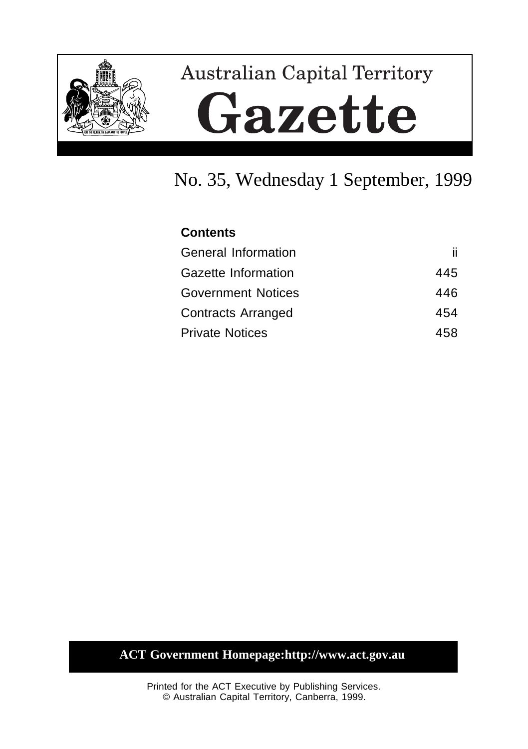

# **Australian Capital Territory** Gazette

# No. 35, Wednesday 1 September, 1999

# **Contents** General Information iii Gazette Information **445** Government Notices 446 Contracts Arranged 454 Private Notices 458

## **ACT Government Homepage:http://www.act.gov.au**

Printed for the ACT Executive by Publishing Services. © Australian Capital Territory, Canberra, 1999.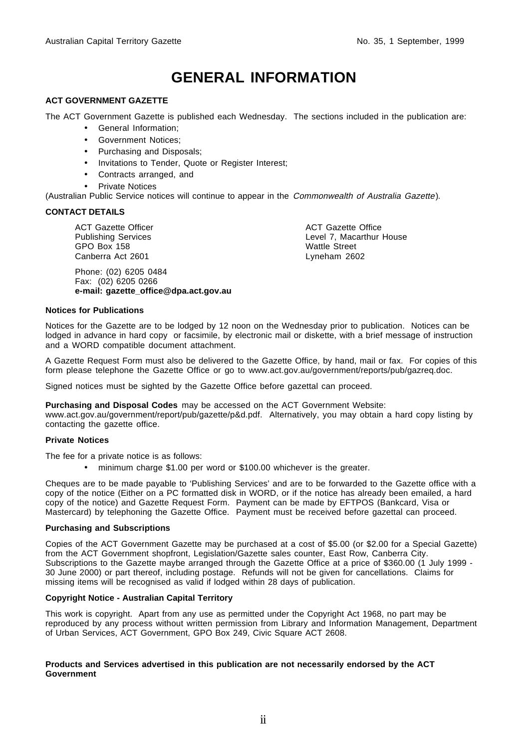# **GENERAL INFORMATION**

#### **ACT GOVERNMENT GAZETTE**

The ACT Government Gazette is published each Wednesday. The sections included in the publication are:

- General Information;
- Government Notices;
- Purchasing and Disposals;
- Invitations to Tender, Quote or Register Interest;
- Contracts arranged, and
- **Private Notices**

(Australian Public Service notices will continue to appear in the Commonwealth of Australia Gazette).

#### **CONTACT DETAILS**

ACT Gazette Officer Publishing Services GPO Box 158 Canberra Act 2601

Phone: (02) 6205 0484 Fax: (02) 6205 0266 **e-mail: gazette\_office@dpa.act.gov.au**

ACT Gazette Office Level 7, Macarthur House Wattle Street Lyneham 2602

#### **Notices for Publications**

Notices for the Gazette are to be lodged by 12 noon on the Wednesday prior to publication. Notices can be lodged in advance in hard copy or facsimile, by electronic mail or diskette, with a brief message of instruction and a WORD compatible document attachment.

A Gazette Request Form must also be delivered to the Gazette Office, by hand, mail or fax. For copies of this form please telephone the Gazette Office or go to www.act.gov.au/government/reports/pub/gazreq.doc.

Signed notices must be sighted by the Gazette Office before gazettal can proceed.

#### **Purchasing and Disposal Codes** may be accessed on the ACT Government Website:

www.act.gov.au/government/report/pub/gazette/p&d.pdf. Alternatively, you may obtain a hard copy listing by contacting the gazette office.

#### **Private Notices**

The fee for a private notice is as follows:

• minimum charge \$1.00 per word or \$100.00 whichever is the greater.

Cheques are to be made payable to 'Publishing Services' and are to be forwarded to the Gazette office with a copy of the notice (Either on a PC formatted disk in WORD, or if the notice has already been emailed, a hard copy of the notice) and Gazette Request Form. Payment can be made by EFTPOS (Bankcard, Visa or Mastercard) by telephoning the Gazette Office. Payment must be received before gazettal can proceed.

#### **Purchasing and Subscriptions**

Copies of the ACT Government Gazette may be purchased at a cost of \$5.00 (or \$2.00 for a Special Gazette) from the ACT Government shopfront, Legislation/Gazette sales counter, East Row, Canberra City. Subscriptions to the Gazette maybe arranged through the Gazette Office at a price of \$360.00 (1 July 1999 -30 June 2000) or part thereof, including postage. Refunds will not be given for cancellations. Claims for missing items will be recognised as valid if lodged within 28 days of publication.

#### **Copyright Notice - Australian Capital Territory**

This work is copyright. Apart from any use as permitted under the Copyright Act 1968, no part may be reproduced by any process without written permission from Library and Information Management, Department of Urban Services, ACT Government, GPO Box 249, Civic Square ACT 2608.

#### **Products and Services advertised in this publication are not necessarily endorsed by the ACT Government**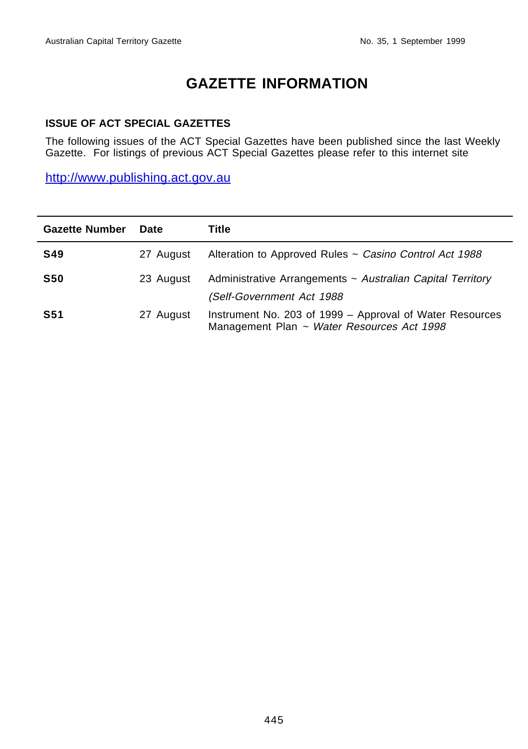# **GAZETTE INFORMATION**

#### **ISSUE OF ACT SPECIAL GAZETTES**

The following issues of the ACT Special Gazettes have been published since the last Weekly Gazette. For listings of previous ACT Special Gazettes please refer to this internet site

http://www.publishing.act.gov.au

| <b>Gazette Number</b> | <b>Date</b> | Title                                                                                                  |
|-----------------------|-------------|--------------------------------------------------------------------------------------------------------|
| <b>S49</b>            | 27 August   | Alteration to Approved Rules ~ Casino Control Act 1988                                                 |
| <b>S50</b>            | 23 August   | Administrative Arrangements ~ Australian Capital Territory<br>(Self-Government Act 1988                |
| <b>S51</b>            | 27 August   | Instrument No. 203 of 1999 – Approval of Water Resources<br>Management Plan ~ Water Resources Act 1998 |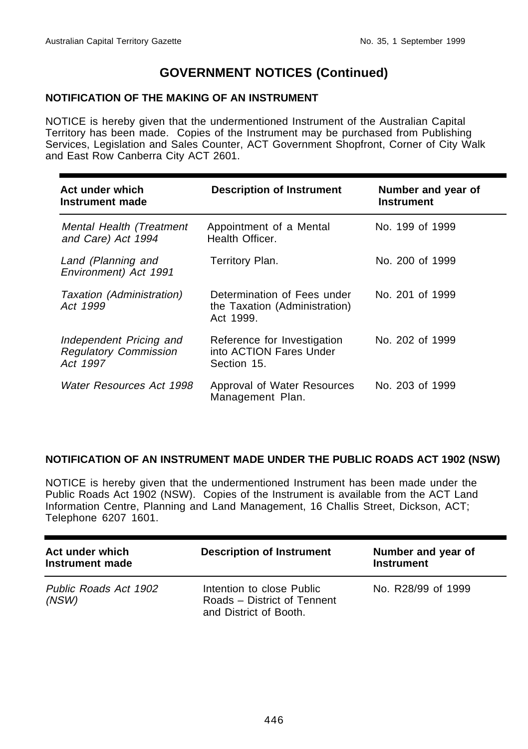#### **NOTIFICATION OF THE MAKING OF AN INSTRUMENT**

NOTICE is hereby given that the undermentioned Instrument of the Australian Capital Territory has been made. Copies of the Instrument may be purchased from Publishing Services, Legislation and Sales Counter, ACT Government Shopfront, Corner of City Walk and East Row Canberra City ACT 2601.

| Act under which<br>Instrument made                                  | <b>Description of Instrument</b>                                          | Number and year of<br><b>Instrument</b> |
|---------------------------------------------------------------------|---------------------------------------------------------------------------|-----------------------------------------|
| Mental Health (Treatment<br>and Care) Act 1994                      | Appointment of a Mental<br>Health Officer.                                | No. 199 of 1999                         |
| Land (Planning and<br>Environment) Act 1991                         | Territory Plan.                                                           | No. 200 of 1999                         |
| Taxation (Administration)<br>Act 1999                               | Determination of Fees under<br>the Taxation (Administration)<br>Act 1999. | No. 201 of 1999                         |
| Independent Pricing and<br><b>Regulatory Commission</b><br>Act 1997 | Reference for Investigation<br>into ACTION Fares Under<br>Section 15.     | No. 202 of 1999                         |
| Water Resources Act 1998                                            | Approval of Water Resources<br>Management Plan.                           | No. 203 of 1999                         |

#### **NOTIFICATION OF AN INSTRUMENT MADE UNDER THE PUBLIC ROADS ACT 1902 (NSW)**

NOTICE is hereby given that the undermentioned Instrument has been made under the Public Roads Act 1902 (NSW). Copies of the Instrument is available from the ACT Land Information Centre, Planning and Land Management, 16 Challis Street, Dickson, ACT; Telephone 6207 1601.

| Act under which<br>Instrument made | <b>Description of Instrument</b>                                                   | Number and year of<br><b>Instrument</b> |
|------------------------------------|------------------------------------------------------------------------------------|-----------------------------------------|
| Public Roads Act 1902<br>(NSW)     | Intention to close Public<br>Roads – District of Tennent<br>and District of Booth. | No. R28/99 of 1999                      |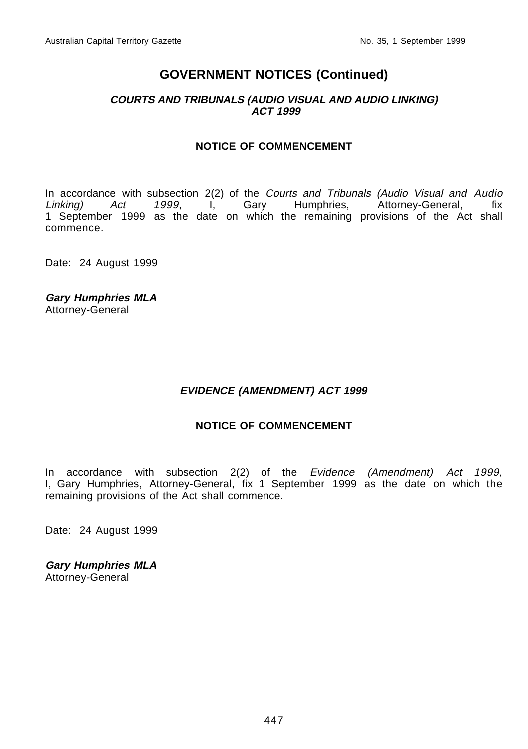#### **COURTS AND TRIBUNALS (AUDIO VISUAL AND AUDIO LINKING) ACT 1999**

#### **NOTICE OF COMMENCEMENT**

In accordance with subsection 2(2) of the Courts and Tribunals (Audio Visual and Audio Linking) Act 1999, I, Gary Humphries, Attorney-General, fix 1 September 1999 as the date on which the remaining provisions of the Act shall commence.

Date: 24 August 1999

**Gary Humphries MLA** Attorney-General

#### **EVIDENCE (AMENDMENT) ACT 1999**

#### **NOTICE OF COMMENCEMENT**

In accordance with subsection 2(2) of the Evidence (Amendment) Act 1999, I, Gary Humphries, Attorney-General, fix 1 September 1999 as the date on which the remaining provisions of the Act shall commence.

Date: 24 August 1999

**Gary Humphries MLA** Attorney-General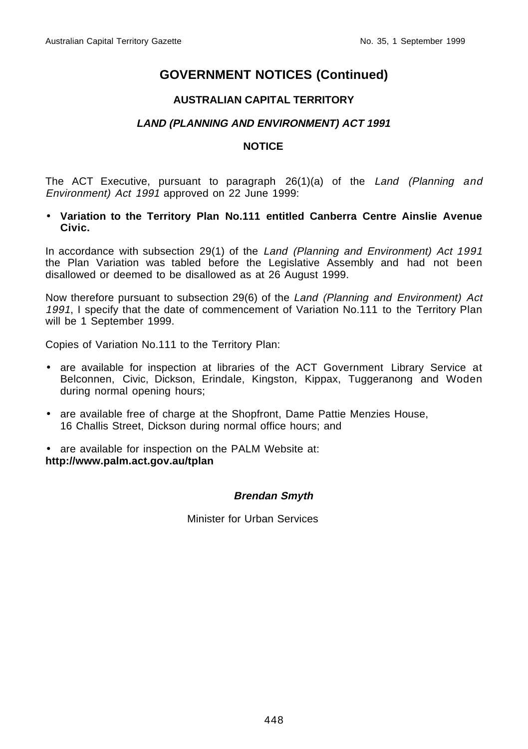#### **AUSTRALIAN CAPITAL TERRITORY**

#### **LAND (PLANNING AND ENVIRONMENT) ACT 1991**

#### **NOTICE**

The ACT Executive, pursuant to paragraph 26(1)(a) of the Land (Planning and Environment) Act 1991 approved on 22 June 1999:

• **Variation to the Territory Plan No.111 entitled Canberra Centre Ainslie Avenue Civic.**

In accordance with subsection 29(1) of the Land (Planning and Environment) Act 1991 the Plan Variation was tabled before the Legislative Assembly and had not been disallowed or deemed to be disallowed as at 26 August 1999.

Now therefore pursuant to subsection 29(6) of the Land (Planning and Environment) Act 1991, I specify that the date of commencement of Variation No.111 to the Territory Plan will be 1 September 1999.

Copies of Variation No.111 to the Territory Plan:

- are available for inspection at libraries of the ACT Government Library Service at Belconnen, Civic, Dickson, Erindale, Kingston, Kippax, Tuggeranong and Woden during normal opening hours;
- are available free of charge at the Shopfront, Dame Pattie Menzies House, 16 Challis Street, Dickson during normal office hours; and

• are available for inspection on the PALM Website at: **http://www.palm.act.gov.au/tplan**

#### **Brendan Smyth**

Minister for Urban Services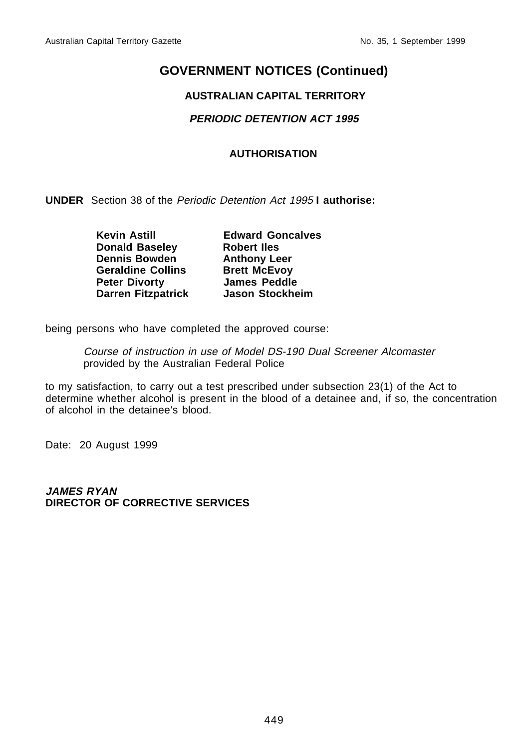#### **AUSTRALIAN CAPITAL TERRITORY**

#### **PERIODIC DETENTION ACT 1995**

#### **AUTHORISATION**

**UNDER** Section 38 of the Periodic Detention Act 1995 **I authorise:**

**Kevin Astill Edward Goncalves Donald Baseley Robert Iles Dennis Bowden Anthony Leer Geraldine Collins Brett McEvoy Peter Divorty James Peddle Darren Fitzpatrick Jason Stockheim**

being persons who have completed the approved course:

Course of instruction in use of Model DS-190 Dual Screener Alcomaster provided by the Australian Federal Police

to my satisfaction, to carry out a test prescribed under subsection 23(1) of the Act to determine whether alcohol is present in the blood of a detainee and, if so, the concentration of alcohol in the detainee's blood.

Date: 20 August 1999

**JAMES RYAN DIRECTOR OF CORRECTIVE SERVICES**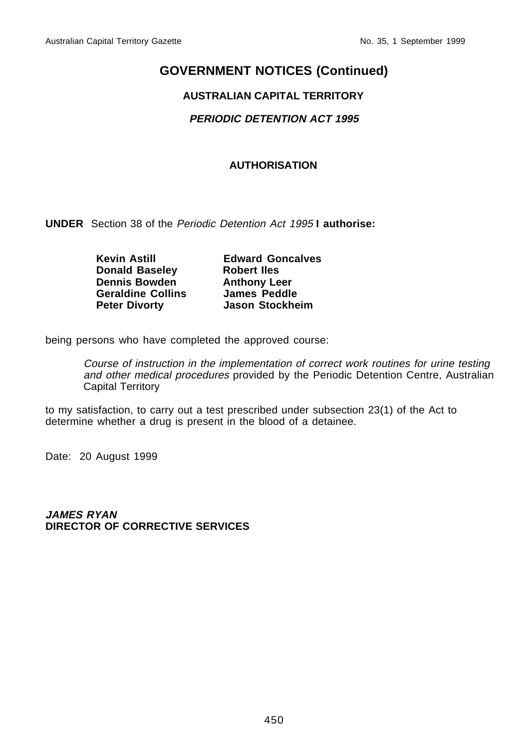#### **AUSTRALIAN CAPITAL TERRITORY**

#### **PERIODIC DETENTION ACT 1995**

#### **AUTHORISATION**

**UNDER** Section 38 of the Periodic Detention Act 1995 **I authorise:**

| <b>Kevin Astill</b>      | <b>Edward Goncalves</b> |
|--------------------------|-------------------------|
| <b>Donald Baseley</b>    | <b>Robert lles</b>      |
| <b>Dennis Bowden</b>     | <b>Anthony Leer</b>     |
| <b>Geraldine Collins</b> | <b>James Peddle</b>     |
| <b>Peter Divorty</b>     | <b>Jason Stockheim</b>  |

being persons who have completed the approved course:

Course of instruction in the implementation of correct work routines for urine testing and other medical procedures provided by the Periodic Detention Centre, Australian Capital Territory

to my satisfaction, to carry out a test prescribed under subsection 23(1) of the Act to determine whether a drug is present in the blood of a detainee.

Date: 20 August 1999

**JAMES RYAN DIRECTOR OF CORRECTIVE SERVICES**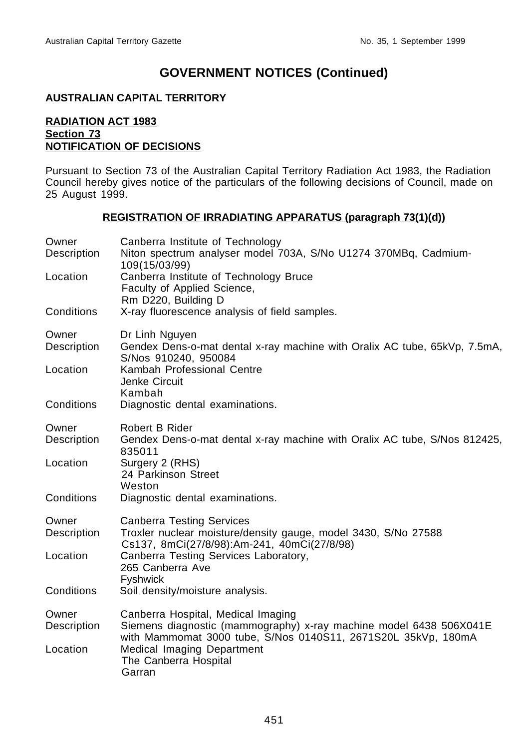#### **AUSTRALIAN CAPITAL TERRITORY**

#### **RADIATION ACT 1983 Section 73 NOTIFICATION OF DECISIONS**

Pursuant to Section 73 of the Australian Capital Territory Radiation Act 1983, the Radiation Council hereby gives notice of the particulars of the following decisions of Council, made on 25 August 1999.

#### **REGISTRATION OF IRRADIATING APPARATUS (paragraph 73(1)(d))**

| Owner<br>Description | Canberra Institute of Technology<br>Niton spectrum analyser model 703A, S/No U1274 370MBq, Cadmium-<br>109(15/03/99)                                                      |
|----------------------|---------------------------------------------------------------------------------------------------------------------------------------------------------------------------|
| Location             | Canberra Institute of Technology Bruce<br>Faculty of Applied Science,<br>Rm D220, Building D                                                                              |
| Conditions           | X-ray fluorescence analysis of field samples.                                                                                                                             |
| Owner<br>Description | Dr Linh Nguyen<br>Gendex Dens-o-mat dental x-ray machine with Oralix AC tube, 65kVp, 7.5mA,<br>S/Nos 910240, 950084                                                       |
| Location             | Kambah Professional Centre<br>Jenke Circuit<br>Kambah                                                                                                                     |
| Conditions           | Diagnostic dental examinations.                                                                                                                                           |
| Owner<br>Description | Robert B Rider<br>Gendex Dens-o-mat dental x-ray machine with Oralix AC tube, S/Nos 812425,<br>835011                                                                     |
| Location             | Surgery 2 (RHS)<br>24 Parkinson Street<br>Weston                                                                                                                          |
| Conditions           | Diagnostic dental examinations.                                                                                                                                           |
| Owner<br>Description | <b>Canberra Testing Services</b><br>Troxler nuclear moisture/density gauge, model 3430, S/No 27588<br>Cs137, 8mCi(27/8/98):Am-241, 40mCi(27/8/98)                         |
| Location             | Canberra Testing Services Laboratory,<br>265 Canberra Ave<br>Fyshwick                                                                                                     |
| Conditions           | Soil density/moisture analysis.                                                                                                                                           |
| Owner<br>Description | Canberra Hospital, Medical Imaging<br>Siemens diagnostic (mammography) x-ray machine model 6438 506X041E<br>with Mammomat 3000 tube, S/Nos 0140S11, 2671S20L 35kVp, 180mA |
| Location             | Medical Imaging Department<br>The Canberra Hospital<br>Garran                                                                                                             |
|                      |                                                                                                                                                                           |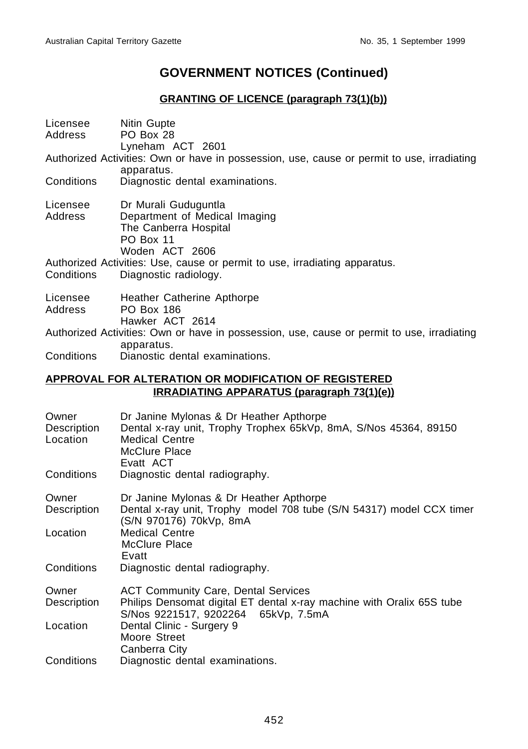### **GRANTING OF LICENCE (paragraph 73(1)(b))**

| Licensee<br>Address | Nitin Gupte<br>PO Box 28<br>Lyneham ACT 2601                                                                                  |
|---------------------|-------------------------------------------------------------------------------------------------------------------------------|
|                     | Authorized Activities: Own or have in possession, use, cause or permit to use, irradiating<br>apparatus.                      |
| Conditions          | Diagnostic dental examinations.                                                                                               |
| Address             | Licensee Dr Murali Guduguntla<br>Department of Medical Imaging<br>The Canberra Hospital<br><b>PO Box 11</b><br>Woden ACT 2606 |
|                     | Authorized Activities: Use, cause or permit to use, irradiating apparatus.                                                    |
| Conditions          | Diagnostic radiology.                                                                                                         |
| Address             | Licensee Heather Catherine Apthorpe<br><b>PO Box 186</b><br>Hawker ACT 2614                                                   |
|                     | Authorized Activities: Own or have in possession, use, cause or permit to use, irradiating<br>apparatus.                      |
|                     | Conditions Dianostic dental examinations.                                                                                     |
|                     | FAB ALTERATIAN AR HARIFIAATIAN AF BEA                                                                                         |

#### **APPROVAL FOR ALTERATION OR MODIFICATION OF REGISTERED IRRADIATING APPARATUS (paragraph 73(1)(e))**

| Owner       | Dr Janine Mylonas & Dr Heather Apthorpe                               |
|-------------|-----------------------------------------------------------------------|
| Description | Dental x-ray unit, Trophy Trophex 65kVp, 8mA, S/Nos 45364, 89150      |
| Location    | <b>Medical Centre</b>                                                 |
|             | McClure Place                                                         |
|             | Evatt ACT                                                             |
| Conditions  | Diagnostic dental radiography.                                        |
| Owner       | Dr Janine Mylonas & Dr Heather Apthorpe                               |
| Description | Dental x-ray unit, Trophy model 708 tube (S/N 54317) model CCX timer  |
|             | (S/N 970176) 70kVp, 8mA                                               |
| Location    | <b>Medical Centre</b>                                                 |
|             | McClure Place                                                         |
|             | Evatt                                                                 |
| Conditions  | Diagnostic dental radiography.                                        |
| Owner       | <b>ACT Community Care, Dental Services</b>                            |
| Description | Philips Densomat digital ET dental x-ray machine with Oralix 65S tube |
|             | S/Nos 9221517, 9202264 65kVp, 7.5mA                                   |
| Location    | Dental Clinic - Surgery 9                                             |
|             | Moore Street                                                          |
|             | Canberra City                                                         |
| Conditions  | Diagnostic dental examinations.                                       |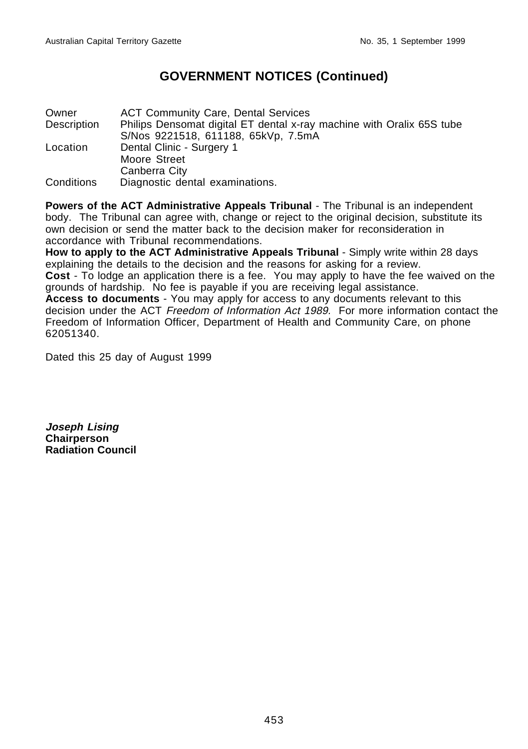Owner ACT Community Care, Dental Services Description Philips Densomat digital ET dental x-ray machine with Oralix 65S tube S/Nos 9221518, 611188, 65kVp, 7.5mA Location Dental Clinic - Surgery 1 Moore Street Canberra City Conditions Diagnostic dental examinations.

**Powers of the ACT Administrative Appeals Tribunal** - The Tribunal is an independent body. The Tribunal can agree with, change or reject to the original decision, substitute its own decision or send the matter back to the decision maker for reconsideration in accordance with Tribunal recommendations.

**How to apply to the ACT Administrative Appeals Tribunal** - Simply write within 28 days explaining the details to the decision and the reasons for asking for a review. **Cost** - To lodge an application there is a fee. You may apply to have the fee waived on the grounds of hardship. No fee is payable if you are receiving legal assistance. **Access to documents** - You may apply for access to any documents relevant to this decision under the ACT Freedom of Information Act 1989. For more information contact the Freedom of Information Officer, Department of Health and Community Care, on phone 62051340.

Dated this 25 day of August 1999

**Joseph Lising Chairperson Radiation Council**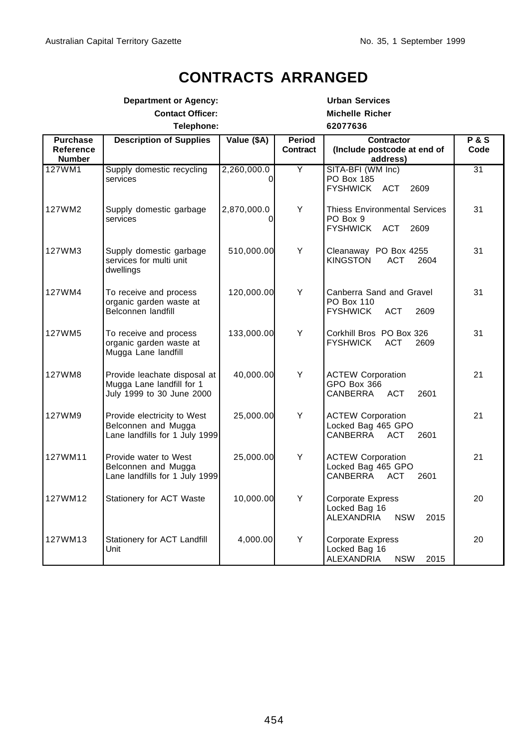# **CONTRACTS ARRANGED**

|                                               | <b>Department or Agency:</b>                                                           |                         |                        | <b>Urban Services</b>                                                            |               |
|-----------------------------------------------|----------------------------------------------------------------------------------------|-------------------------|------------------------|----------------------------------------------------------------------------------|---------------|
| <b>Contact Officer:</b>                       |                                                                                        |                         | <b>Michelle Richer</b> |                                                                                  |               |
| Telephone:                                    |                                                                                        |                         |                        | 62077636                                                                         |               |
| <b>Purchase</b><br>Reference<br><b>Number</b> | <b>Description of Supplies</b>                                                         | Value (\$A)             | Period<br>Contract     | <b>Contractor</b><br>(Include postcode at end of<br>address)                     | P & S<br>Code |
| 127WM1                                        | Supply domestic recycling<br>services                                                  | 2,260,000.0<br>$\Omega$ | Y                      | SITA-BFI (WM Inc)<br>PO Box 185<br><b>FYSHWICK ACT</b><br>2609                   | 31            |
| 127WM2                                        | Supply domestic garbage<br>services                                                    | 2,870,000.0             | Y                      | <b>Thiess Environmental Services</b><br>PO Box 9<br>FYSHWICK ACT<br>2609         | 31            |
| 127WM3                                        | Supply domestic garbage<br>services for multi unit<br>dwellings                        | 510,000.00              | Y                      | Cleanaway PO Box 4255<br>KINGSTON<br><b>ACT</b><br>2604                          | 31            |
| 127WM4                                        | To receive and process<br>organic garden waste at<br>Belconnen landfill                | 120,000.00              | Y                      | Canberra Sand and Gravel<br>PO Box 110<br><b>ACT</b><br><b>FYSHWICK</b><br>2609  | 31            |
| 127WM5                                        | To receive and process<br>organic garden waste at<br>Mugga Lane landfill               | 133,000.00              | Y                      | Corkhill Bros PO Box 326<br><b>FYSHWICK</b><br>ACT<br>2609                       | 31            |
| 127WM8                                        | Provide leachate disposal at<br>Mugga Lane landfill for 1<br>July 1999 to 30 June 2000 | 40,000.00               | Y                      | <b>ACTEW Corporation</b><br>GPO Box 366<br><b>ACT</b><br>CANBERRA<br>2601        | 21            |
| 127WM9                                        | Provide electricity to West<br>Belconnen and Mugga<br>Lane landfills for 1 July 1999   | 25,000.00               | Y                      | <b>ACTEW Corporation</b><br>Locked Bag 465 GPO<br>CANBERRA<br><b>ACT</b><br>2601 | 21            |
| 127WM11                                       | Provide water to West<br>Belconnen and Mugga<br>Lane landfills for 1 July 1999         | 25,000.00               | Y                      | <b>ACTEW Corporation</b><br>Locked Bag 465 GPO<br>CANBERRA<br><b>ACT</b><br>2601 | 21            |
| 127WM12                                       | Stationery for ACT Waste                                                               | 10,000.00               | Y                      | <b>Corporate Express</b><br>Locked Bag 16<br>ALEXANDRIA<br><b>NSW</b><br>2015    | 20            |
| 127WM13                                       | Stationery for ACT Landfill<br>Unit                                                    | 4,000.00                | Y                      | <b>Corporate Express</b><br>Locked Bag 16<br>ALEXANDRIA<br><b>NSW</b><br>2015    | 20            |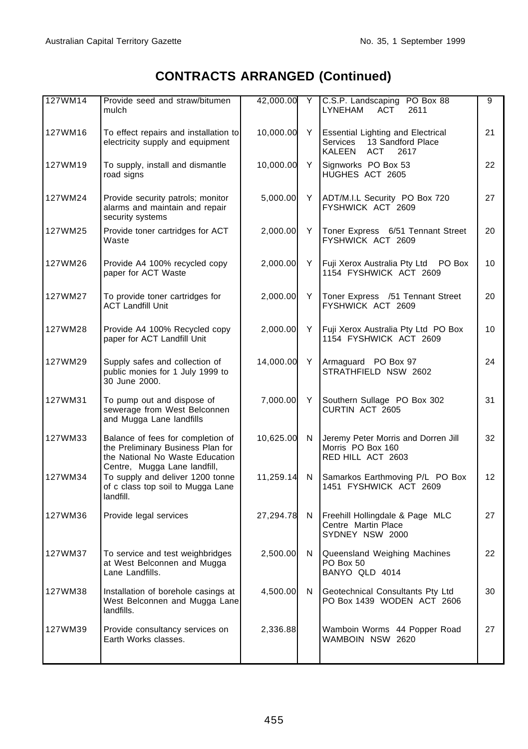# **CONTRACTS ARRANGED (Continued)**

| 127WM14 | Provide seed and straw/bitumen<br>mulch                                                                                                   | 42,000.00 | Y  | C.S.P. Landscaping PO Box 88<br><b>LYNEHAM</b><br><b>ACT</b><br>2611                               | 9  |
|---------|-------------------------------------------------------------------------------------------------------------------------------------------|-----------|----|----------------------------------------------------------------------------------------------------|----|
| 127WM16 | To effect repairs and installation to<br>electricity supply and equipment                                                                 | 10,000.00 | Y  | <b>Essential Lighting and Electrical</b><br>13 Sandford Place<br>Services<br>KALEEN<br>ACT<br>2617 | 21 |
| 127WM19 | To supply, install and dismantle<br>road signs                                                                                            | 10,000.00 | Y  | Signworks PO Box 53<br>HUGHES ACT 2605                                                             | 22 |
| 127WM24 | Provide security patrols; monitor<br>alarms and maintain and repair<br>security systems                                                   | 5,000.00  | Y. | ADT/M.I.L Security PO Box 720<br>FYSHWICK ACT 2609                                                 | 27 |
| 127WM25 | Provide toner cartridges for ACT<br>Waste                                                                                                 | 2,000.00  | Y  | Toner Express 6/51 Tennant Street<br>FYSHWICK ACT 2609                                             | 20 |
| 127WM26 | Provide A4 100% recycled copy<br>paper for ACT Waste                                                                                      | 2,000.00  | Y  | Fuji Xerox Australia Pty Ltd PO Box<br>1154 FYSHWICK ACT 2609                                      | 10 |
| 127WM27 | To provide toner cartridges for<br><b>ACT Landfill Unit</b>                                                                               | 2,000.00  | Y  | Toner Express /51 Tennant Street<br>FYSHWICK ACT 2609                                              | 20 |
| 127WM28 | Provide A4 100% Recycled copy<br>paper for ACT Landfill Unit                                                                              | 2,000.00  | Y  | Fuji Xerox Australia Pty Ltd PO Box<br>1154 FYSHWICK ACT 2609                                      | 10 |
| 127WM29 | Supply safes and collection of<br>public monies for 1 July 1999 to<br>30 June 2000.                                                       | 14,000.00 | Y  | Armaguard PO Box 97<br>STRATHFIELD NSW 2602                                                        | 24 |
| 127WM31 | To pump out and dispose of<br>sewerage from West Belconnen<br>and Mugga Lane landfills                                                    | 7,000.00  | Y  | Southern Sullage PO Box 302<br>CURTIN ACT 2605                                                     | 31 |
| 127WM33 | Balance of fees for completion of<br>the Preliminary Business Plan for<br>the National No Waste Education<br>Centre, Mugga Lane landfill, | 10,625.00 | N  | Jeremy Peter Morris and Dorren Jill<br>Morris PO Box 160<br>RED HILL ACT 2603                      | 32 |
| 127WM34 | To supply and deliver 1200 tonne<br>of c class top soil to Mugga Lane<br>landfill.                                                        | 11,259.14 | N  | Samarkos Earthmoving P/L PO Box<br>1451 FYSHWICK ACT 2609                                          | 12 |
| 127WM36 | Provide legal services                                                                                                                    | 27,294.78 | N  | Freehill Hollingdale & Page MLC<br>Centre Martin Place<br>SYDNEY NSW 2000                          | 27 |
| 127WM37 | To service and test weighbridges<br>at West Belconnen and Mugga<br>Lane Landfills.                                                        | 2,500.00  | N  | Queensland Weighing Machines<br>PO Box 50<br>BANYO QLD 4014                                        | 22 |
| 127WM38 | Installation of borehole casings at<br>West Belconnen and Mugga Lane<br>landfills.                                                        | 4,500.00  | N  | Geotechnical Consultants Pty Ltd<br>PO Box 1439 WODEN ACT 2606                                     | 30 |
| 127WM39 | Provide consultancy services on<br>Earth Works classes.                                                                                   | 2,336.88  |    | Wamboin Worms 44 Popper Road<br>WAMBOIN NSW 2620                                                   | 27 |
|         |                                                                                                                                           |           |    |                                                                                                    |    |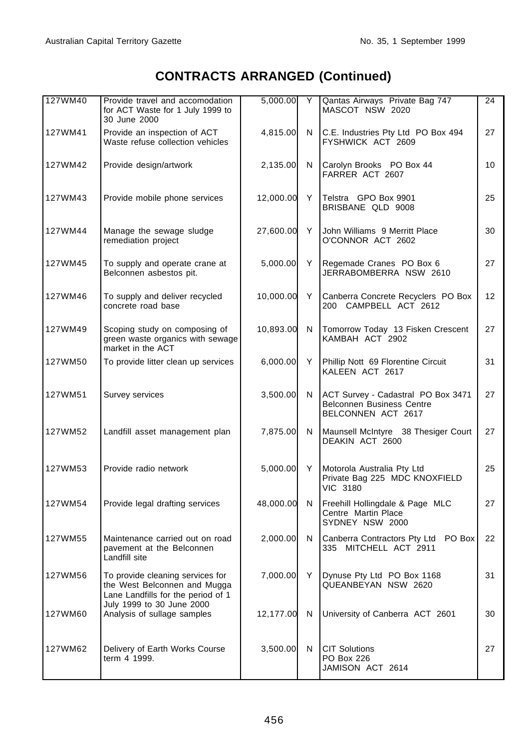# **CONTRACTS ARRANGED (Continued)**

| 127WM40 | Provide travel and accomodation<br>for ACT Waste for 1 July 1999 to<br>30 June 2000                    | 5,000.00  | Y   | Qantas Airways Private Bag 747<br>MASCOT NSW 2020                                            | 24              |
|---------|--------------------------------------------------------------------------------------------------------|-----------|-----|----------------------------------------------------------------------------------------------|-----------------|
| 127WM41 | Provide an inspection of ACT<br>Waste refuse collection vehicles                                       | 4,815.00  | N   | C.E. Industries Pty Ltd PO Box 494<br>FYSHWICK ACT 2609                                      | 27              |
| 127WM42 | Provide design/artwork                                                                                 | 2,135.00  | N   | Carolyn Brooks PO Box 44<br>FARRER ACT 2607                                                  | 10              |
| 127WM43 | Provide mobile phone services                                                                          | 12,000.00 | Y   | Telstra GPO Box 9901<br>BRISBANE QLD 9008                                                    | 25              |
| 127WM44 | Manage the sewage sludge<br>remediation project                                                        | 27,600.00 | Y   | John Williams 9 Merritt Place<br>O'CONNOR ACT 2602                                           | 30              |
| 127WM45 | To supply and operate crane at<br>Belconnen asbestos pit.                                              | 5,000.00  | Y   | Regemade Cranes PO Box 6<br>JERRABOMBERRA NSW 2610                                           | 27              |
| 127WM46 | To supply and deliver recycled<br>concrete road base                                                   | 10,000.00 | Y   | Canberra Concrete Recyclers PO Box<br>200 CAMPBELL ACT 2612                                  | 12 <sup>2</sup> |
| 127WM49 | Scoping study on composing of<br>green waste organics with sewage<br>market in the ACT                 | 10,893.00 | N   | Tomorrow Today 13 Fisken Crescent<br>KAMBAH ACT 2902                                         | 27              |
| 127WM50 | To provide litter clean up services                                                                    | 6,000.00  | Y   | Phillip Nott 69 Florentine Circuit<br>KALEEN ACT 2617                                        | 31              |
| 127WM51 | Survey services                                                                                        | 3,500.00  | N   | ACT Survey - Cadastral PO Box 3471<br><b>Belconnen Business Centre</b><br>BELCONNEN ACT 2617 | 27              |
| 127WM52 | Landfill asset management plan                                                                         | 7,875.00  | N   | Maunsell McIntyre 38 Thesiger Court<br>DEAKIN ACT 2600                                       | 27              |
| 127WM53 | Provide radio network                                                                                  | 5,000.00  | Y   | Motorola Australia Pty Ltd<br>Private Bag 225 MDC KNOXFIELD<br><b>VIC 3180</b>               | 25              |
| 127WM54 | Provide legal drafting services                                                                        | 48,000.00 | N   | Freehill Hollingdale & Page MLC<br>Centre Martin Place<br>SYDNEY NSW 2000                    | 27              |
| 127WM55 | Maintenance carried out on road<br>pavement at the Belconnen<br>Landfill site                          | 2,000.00  | N   | Canberra Contractors Pty Ltd PO Box<br>335 MITCHELL ACT 2911                                 | 22              |
| 127WM56 | To provide cleaning services for<br>the West Belconnen and Mugga<br>Lane Landfills for the period of 1 | 7,000.00  | Y I | Dynuse Pty Ltd PO Box 1168<br>QUEANBEYAN NSW 2620                                            | 31              |
| 127WM60 | July 1999 to 30 June 2000<br>Analysis of sullage samples                                               | 12,177.00 | N   | University of Canberra ACT 2601                                                              | 30              |
| 127WM62 | Delivery of Earth Works Course<br>term 4 1999.                                                         | 3,500.00  | N   | <b>CIT Solutions</b><br>PO Box 226<br>JAMISON ACT 2614                                       | 27              |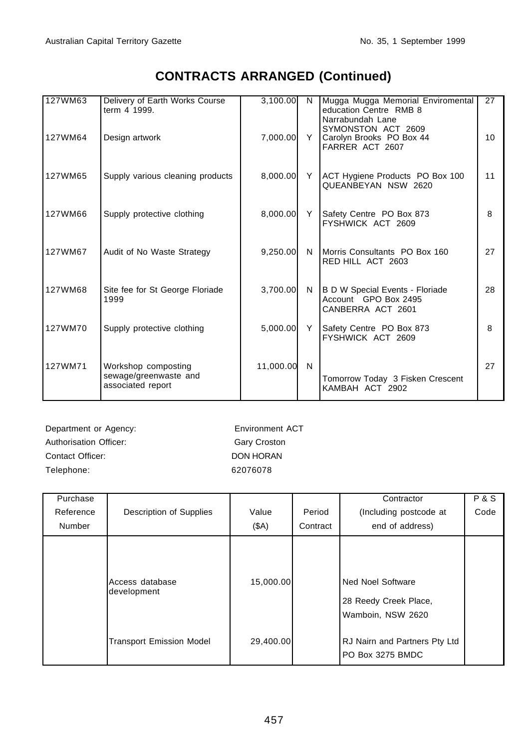# **CONTRACTS ARRANGED (Continued)**

| 127WM63 | Delivery of Earth Works Course<br>term 4 1999.                    | 3,100.00  | N <sub>1</sub> | Mugga Mugga Memorial Enviromental<br>education Centre RMB 8<br>Narrabundah Lane | 27 |
|---------|-------------------------------------------------------------------|-----------|----------------|---------------------------------------------------------------------------------|----|
| 127WM64 | Design artwork                                                    | 7.000.00  |                | SYMONSTON ACT 2609<br>Y Carolyn Brooks PO Box 44<br>FARRER ACT 2607             | 10 |
| 127WM65 | Supply various cleaning products                                  | 8,000.00  |                | Y   ACT Hygiene Products PO Box 100<br>QUEANBEYAN NSW 2620                      | 11 |
| 127WM66 | Supply protective clothing                                        | 8,000.00  | Y              | Safety Centre PO Box 873<br>FYSHWICK ACT 2609                                   | 8  |
| 127WM67 | Audit of No Waste Strategy                                        | 9,250.00  |                | N Morris Consultants PO Box 160<br>RED HILL ACT 2603                            | 27 |
| 127WM68 | Site fee for St George Floriade<br>1999                           | 3,700.00  |                | N B D W Special Events - Floriade<br>Account GPO Box 2495<br>CANBERRA ACT 2601  | 28 |
| 127WM70 | Supply protective clothing                                        | 5,000.00  | Y              | Safety Centre PO Box 873<br>FYSHWICK ACT 2609                                   | 8  |
| 127WM71 | Workshop composting<br>sewage/greenwaste and<br>associated report | 11,000.00 | N              | Tomorrow Today 3 Fisken Crescent<br>KAMBAH ACT 2902                             | 27 |

Department or Agency: Environment ACT Authorisation Officer: Gary Croston Contact Officer: DON HORAN Telephone: 62076078

| Purchase<br>Reference<br>Number | Description of Supplies         | Value<br>(SA) | Period<br>Contract | Contractor<br>(Including postcode at<br>end of address)                | <b>P&amp;S</b><br>Code |
|---------------------------------|---------------------------------|---------------|--------------------|------------------------------------------------------------------------|------------------------|
|                                 | Access database<br>development  | 15,000.00     |                    | <b>Ned Noel Software</b><br>28 Reedy Creek Place,<br>Wamboin, NSW 2620 |                        |
|                                 | <b>Transport Emission Model</b> | 29,400.00     |                    | RJ Nairn and Partners Pty Ltd<br>PO Box 3275 BMDC                      |                        |